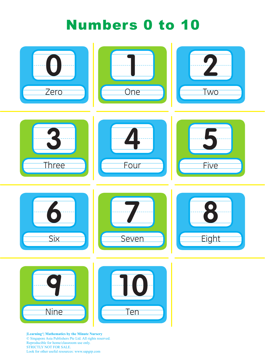## Numbers 0 to 10



**|Learning+| Mathematics by the Minute Nursery** © Singapore Asia Publishers Pte Ltd. All rights reserved. Reproducible for home/classroom use only. STRICTLY NOT FOR SALE. Look for other useful resources: www.sapgrp.com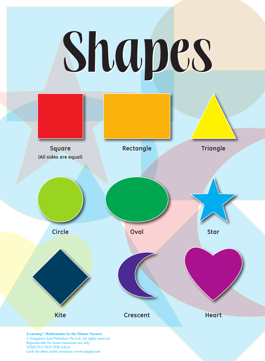## Shapes



© Singapore Asia Publishers Pte Ltd. All rights reserved. Reproducible for home/classroom use only. STRICTLY NOT FOR SALE. Look for other useful resources: www.sapgrp.com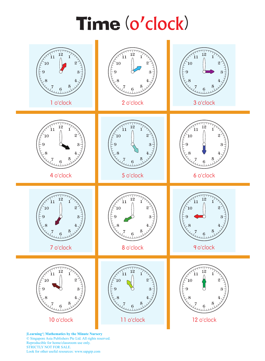## Time (o'clock)



**|Learning+| Mathematics by the Minute Nursery** © Singapore Asia Publishers Pte Ltd. All rights reserved. Reproducible for home/classroom use only. STRICTLY NOT FOR SALE. Look for other useful resources: www.sapgrp.com